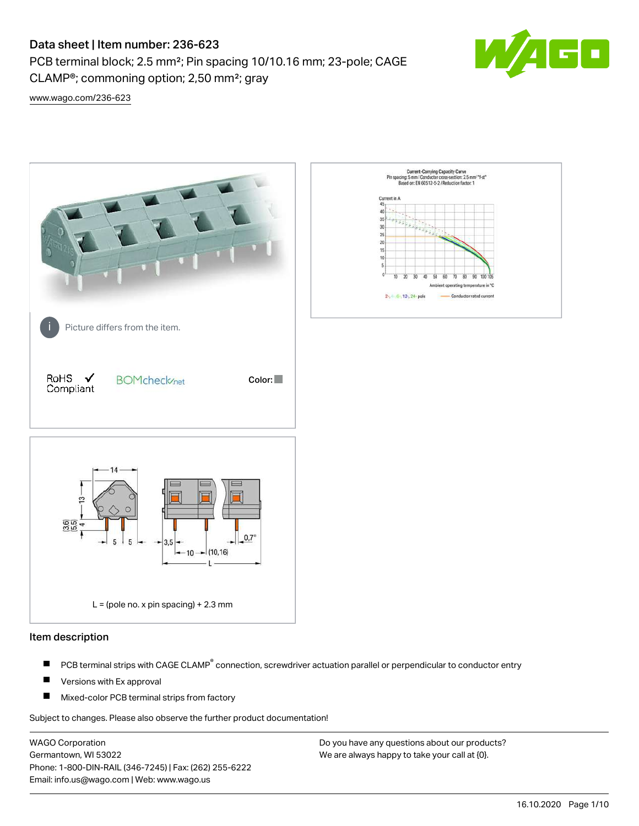CLAMP®; commoning option; 2,50 mm²; gray

PCB terminal block; 2.5 mm²; Pin spacing 10/10.16 mm; 23-pole; CAGE



[www.wago.com/236-623](http://www.wago.com/236-623)



## Item description

- PCB terminal strips with CAGE CLAMP<sup>®</sup> connection, screwdriver actuation parallel or perpendicular to conductor entry П
- П Versions with Ex approval
- П Mixed-color PCB terminal strips from factory

Subject to changes. Please also observe the further product documentation!

WAGO Corporation Germantown, WI 53022 Phone: 1-800-DIN-RAIL (346-7245) | Fax: (262) 255-6222 Email: info.us@wago.com | Web: www.wago.us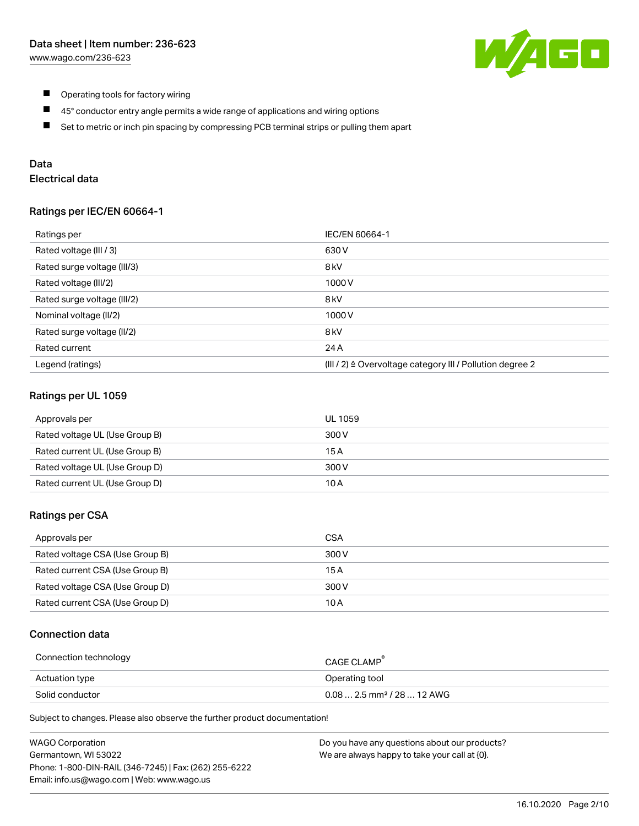

- $\blacksquare$ Operating tools for factory wiring
- $\blacksquare$ 45° conductor entry angle permits a wide range of applications and wiring options
- $\blacksquare$ Set to metric or inch pin spacing by compressing PCB terminal strips or pulling them apart

# Data

# Electrical data

## Ratings per IEC/EN 60664-1

| Ratings per                 | IEC/EN 60664-1                                                        |
|-----------------------------|-----------------------------------------------------------------------|
| Rated voltage (III / 3)     | 630 V                                                                 |
| Rated surge voltage (III/3) | 8 <sub>kV</sub>                                                       |
| Rated voltage (III/2)       | 1000V                                                                 |
| Rated surge voltage (III/2) | 8 <sub>kV</sub>                                                       |
| Nominal voltage (II/2)      | 1000V                                                                 |
| Rated surge voltage (II/2)  | 8 <sub>kV</sub>                                                       |
| Rated current               | 24 A                                                                  |
| Legend (ratings)            | $(III / 2)$ $\triangle$ Overvoltage category III / Pollution degree 2 |

## Ratings per UL 1059

| Approvals per                  | UL 1059 |
|--------------------------------|---------|
| Rated voltage UL (Use Group B) | 300 V   |
| Rated current UL (Use Group B) | 15 A    |
| Rated voltage UL (Use Group D) | 300 V   |
| Rated current UL (Use Group D) | 10 A    |

## Ratings per CSA

| Approvals per                   | CSA   |
|---------------------------------|-------|
| Rated voltage CSA (Use Group B) | 300 V |
| Rated current CSA (Use Group B) | 15 A  |
| Rated voltage CSA (Use Group D) | 300 V |
| Rated current CSA (Use Group D) | 10 A  |

# Connection data

| Connection technology | CAGE CLAMP                              |
|-----------------------|-----------------------------------------|
| Actuation type        | Operating tool                          |
| Solid conductor       | $0.08$ 2.5 mm <sup>2</sup> / 28  12 AWG |

Subject to changes. Please also observe the further product documentation!

| <b>WAGO Corporation</b>                                | Do you have any questions about our products? |
|--------------------------------------------------------|-----------------------------------------------|
| Germantown, WI 53022                                   | We are always happy to take your call at {0}. |
| Phone: 1-800-DIN-RAIL (346-7245)   Fax: (262) 255-6222 |                                               |
| Email: info.us@wago.com   Web: www.wago.us             |                                               |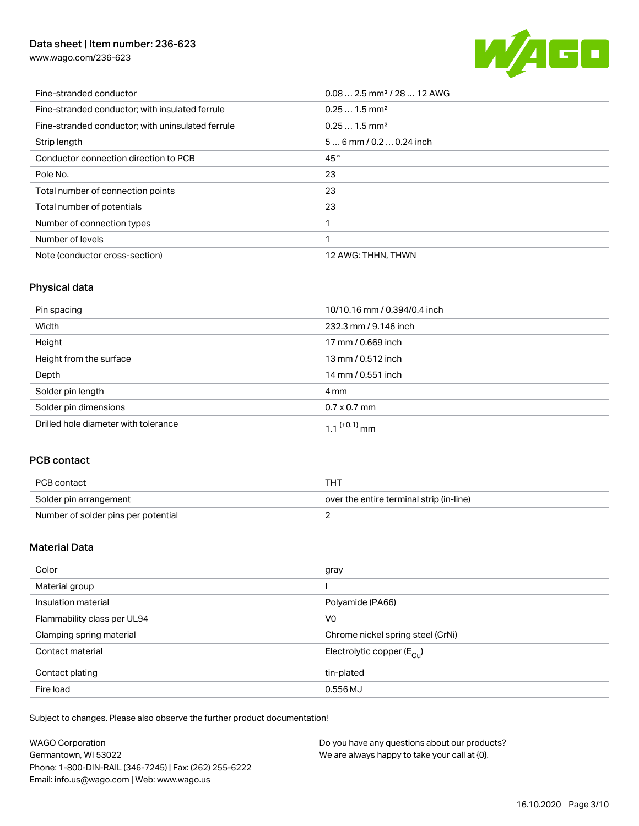[www.wago.com/236-623](http://www.wago.com/236-623)



| Fine-stranded conductor                           | $0.08$ 2.5 mm <sup>2</sup> / 28  12 AWG |
|---------------------------------------------------|-----------------------------------------|
| Fine-stranded conductor; with insulated ferrule   | $0.251.5$ mm <sup>2</sup>               |
| Fine-stranded conductor; with uninsulated ferrule | $0.251.5$ mm <sup>2</sup>               |
| Strip length                                      | $56$ mm $/ 0.20.24$ inch                |
| Conductor connection direction to PCB             | 45°                                     |
| Pole No.                                          | 23                                      |
| Total number of connection points                 | 23                                      |
| Total number of potentials                        | 23                                      |
| Number of connection types                        |                                         |
| Number of levels                                  | 1                                       |
| Note (conductor cross-section)                    | 12 AWG: THHN, THWN                      |

# Physical data

| Pin spacing                          | 10/10.16 mm / 0.394/0.4 inch |
|--------------------------------------|------------------------------|
| Width                                | 232.3 mm / 9.146 inch        |
| Height                               | 17 mm / 0.669 inch           |
| Height from the surface              | 13 mm / 0.512 inch           |
| Depth                                | 14 mm / 0.551 inch           |
| Solder pin length                    | 4 mm                         |
| Solder pin dimensions                | $0.7 \times 0.7$ mm          |
| Drilled hole diameter with tolerance | $1.1$ <sup>(+0.1)</sup> mm   |

# PCB contact

| PCB contact                         | тнт                                      |
|-------------------------------------|------------------------------------------|
| Solder pin arrangement              | over the entire terminal strip (in-line) |
| Number of solder pins per potential |                                          |

# Material Data

| Color                       | gray                                  |
|-----------------------------|---------------------------------------|
| Material group              |                                       |
| Insulation material         | Polyamide (PA66)                      |
| Flammability class per UL94 | V <sub>0</sub>                        |
| Clamping spring material    | Chrome nickel spring steel (CrNi)     |
| Contact material            | Electrolytic copper $(E_{\text{Cl}})$ |
| Contact plating             | tin-plated                            |
| Fire load                   | 0.556 MJ                              |

Subject to changes. Please also observe the further product documentation!

| <b>WAGO Corporation</b>                                | Do you have any questions about our products? |
|--------------------------------------------------------|-----------------------------------------------|
| Germantown, WI 53022                                   | We are always happy to take your call at {0}. |
| Phone: 1-800-DIN-RAIL (346-7245)   Fax: (262) 255-6222 |                                               |
| Email: info.us@wago.com   Web: www.wago.us             |                                               |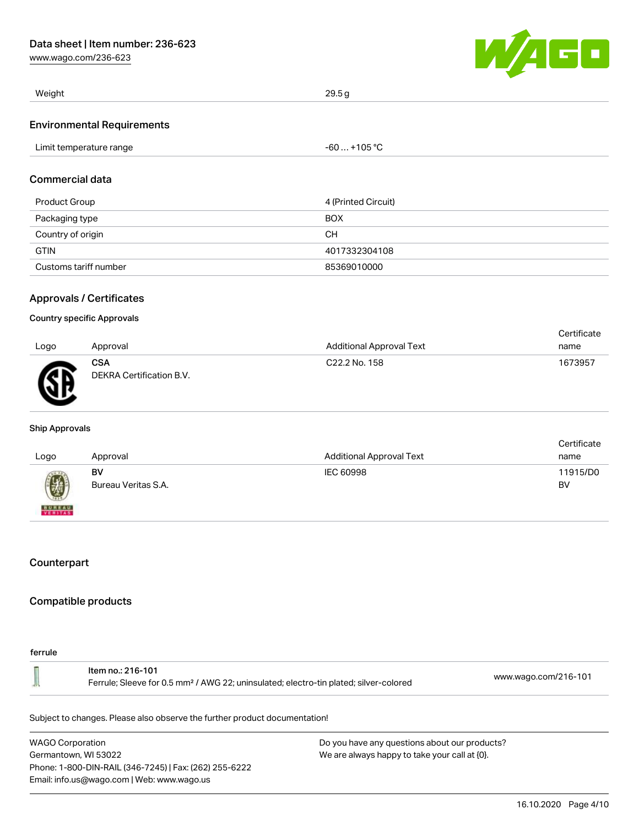[www.wago.com/236-623](http://www.wago.com/236-623)



| Weight                            | 29.5g        |
|-----------------------------------|--------------|
| <b>Environmental Requirements</b> |              |
| Limit temperature range           | $-60+105$ °C |

# Commercial data

| Product Group         | 4 (Printed Circuit) |
|-----------------------|---------------------|
| Packaging type        | <b>BOX</b>          |
| Country of origin     | CН                  |
| <b>GTIN</b>           | 4017332304108       |
| Customs tariff number | 85369010000         |

## Approvals / Certificates

#### Country specific Approvals

|              |                                        |                           | Certificate |
|--------------|----------------------------------------|---------------------------|-------------|
| Logo         | Approval                               | Additional Approval Text  | name        |
| $\mathbb{R}$ | <b>CSA</b><br>DEKRA Certification B.V. | C <sub>22.2</sub> No. 158 | 1673957     |

#### Ship Approvals

| Logo                     | Approval                  | <b>Additional Approval Text</b> | Certificate<br>name |
|--------------------------|---------------------------|---------------------------------|---------------------|
| 國                        | BV<br>Bureau Veritas S.A. | IEC 60998                       | 11915/D0<br>BV      |
| <b>BUREAU</b><br>VERITAS |                           |                                 |                     |

# **Counterpart**

### Compatible products

#### ferrule

| ltem no.: 216-101<br>Ferrule; Sleeve for 0.5 mm <sup>2</sup> / AWG 22; uninsulated; electro-tin plated; silver-colored | www.wago.com/216-101 |
|------------------------------------------------------------------------------------------------------------------------|----------------------|
|------------------------------------------------------------------------------------------------------------------------|----------------------|

Subject to changes. Please also observe the further product documentation!

WAGO Corporation Germantown, WI 53022 Phone: 1-800-DIN-RAIL (346-7245) | Fax: (262) 255-6222 Email: info.us@wago.com | Web: www.wago.us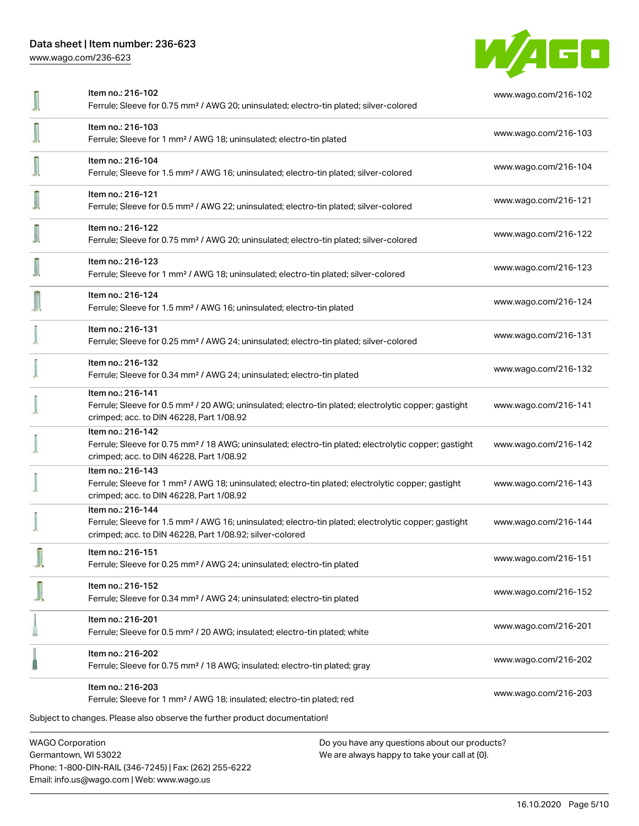Phone: 1-800-DIN-RAIL (346-7245) | Fax: (262) 255-6222

Email: info.us@wago.com | Web: www.wago.us

[www.wago.com/236-623](http://www.wago.com/236-623)



|                         | Item no.: 216-102<br>Ferrule; Sleeve for 0.75 mm <sup>2</sup> / AWG 20; uninsulated; electro-tin plated; silver-colored                                                                           | www.wago.com/216-102 |
|-------------------------|---------------------------------------------------------------------------------------------------------------------------------------------------------------------------------------------------|----------------------|
|                         | Item no.: 216-103<br>Ferrule; Sleeve for 1 mm <sup>2</sup> / AWG 18; uninsulated; electro-tin plated                                                                                              | www.wago.com/216-103 |
|                         | Item no.: 216-104<br>Ferrule; Sleeve for 1.5 mm <sup>2</sup> / AWG 16; uninsulated; electro-tin plated; silver-colored                                                                            | www.wago.com/216-104 |
|                         | Item no.: 216-121<br>Ferrule; Sleeve for 0.5 mm <sup>2</sup> / AWG 22; uninsulated; electro-tin plated; silver-colored                                                                            | www.wago.com/216-121 |
|                         | Item no.: 216-122<br>Ferrule; Sleeve for 0.75 mm <sup>2</sup> / AWG 20; uninsulated; electro-tin plated; silver-colored                                                                           | www.wago.com/216-122 |
|                         | Item no.: 216-123<br>Ferrule; Sleeve for 1 mm <sup>2</sup> / AWG 18; uninsulated; electro-tin plated; silver-colored                                                                              | www.wago.com/216-123 |
|                         | Item no.: 216-124<br>Ferrule; Sleeve for 1.5 mm <sup>2</sup> / AWG 16; uninsulated; electro-tin plated                                                                                            | www.wago.com/216-124 |
|                         | Item no.: 216-131<br>Ferrule; Sleeve for 0.25 mm <sup>2</sup> / AWG 24; uninsulated; electro-tin plated; silver-colored                                                                           | www.wago.com/216-131 |
|                         | Item no.: 216-132<br>Ferrule; Sleeve for 0.34 mm <sup>2</sup> / AWG 24; uninsulated; electro-tin plated                                                                                           | www.wago.com/216-132 |
|                         | Item no.: 216-141<br>Ferrule; Sleeve for 0.5 mm <sup>2</sup> / 20 AWG; uninsulated; electro-tin plated; electrolytic copper; gastight<br>crimped; acc. to DIN 46228, Part 1/08.92                 | www.wago.com/216-141 |
|                         | Item no.: 216-142<br>Ferrule; Sleeve for 0.75 mm <sup>2</sup> / 18 AWG; uninsulated; electro-tin plated; electrolytic copper; gastight<br>crimped; acc. to DIN 46228, Part 1/08.92                | www.wago.com/216-142 |
|                         | Item no.: 216-143<br>Ferrule; Sleeve for 1 mm <sup>2</sup> / AWG 18; uninsulated; electro-tin plated; electrolytic copper; gastight<br>crimped; acc. to DIN 46228, Part 1/08.92                   | www.wago.com/216-143 |
|                         | Item no.: 216-144<br>Ferrule; Sleeve for 1.5 mm <sup>2</sup> / AWG 16; uninsulated; electro-tin plated; electrolytic copper; gastight<br>crimped; acc. to DIN 46228, Part 1/08.92; silver-colored | www.wago.com/216-144 |
|                         | Item no.: 216-151<br>Ferrule; Sleeve for 0.25 mm <sup>2</sup> / AWG 24; uninsulated; electro-tin plated                                                                                           | www.wago.com/216-151 |
|                         | Item no.: 216-152<br>Ferrule; Sleeve for 0.34 mm <sup>2</sup> / AWG 24; uninsulated; electro-tin plated                                                                                           | www.wago.com/216-152 |
|                         | Item no.: 216-201<br>Ferrule; Sleeve for 0.5 mm <sup>2</sup> / 20 AWG; insulated; electro-tin plated; white                                                                                       | www.wago.com/216-201 |
|                         | Item no.: 216-202<br>Ferrule; Sleeve for 0.75 mm <sup>2</sup> / 18 AWG; insulated; electro-tin plated; gray                                                                                       | www.wago.com/216-202 |
|                         | Item no.: 216-203<br>Ferrule; Sleeve for 1 mm <sup>2</sup> / AWG 18; insulated; electro-tin plated; red                                                                                           | www.wago.com/216-203 |
|                         | Subject to changes. Please also observe the further product documentation!                                                                                                                        |                      |
| <b>WAGO Corporation</b> | Do you have any questions about our products?<br>Germantown, WI 53022<br>We are always happy to take your call at {0}.                                                                            |                      |

16.10.2020 Page 5/10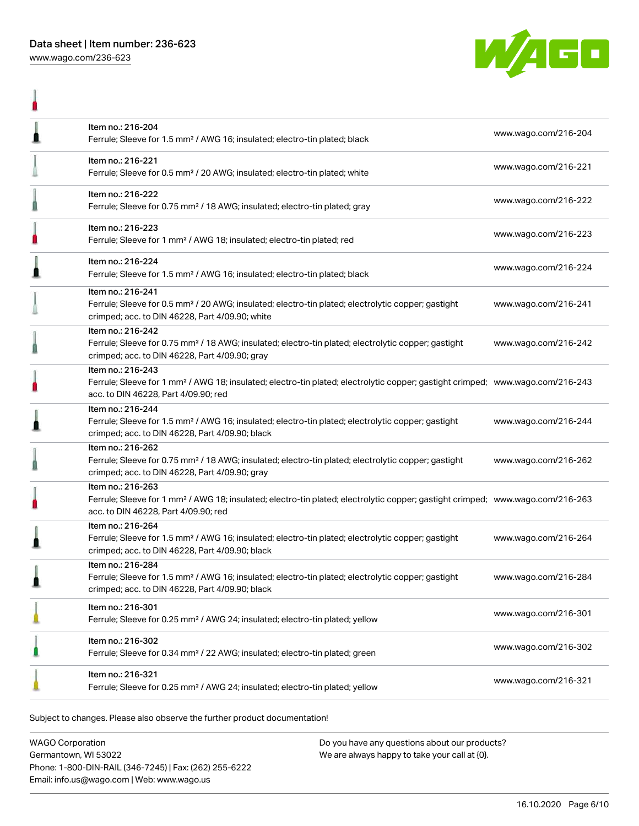

|   | Item no.: 216-204<br>Ferrule; Sleeve for 1.5 mm <sup>2</sup> / AWG 16; insulated; electro-tin plated; black                                                                                             | www.wago.com/216-204 |
|---|---------------------------------------------------------------------------------------------------------------------------------------------------------------------------------------------------------|----------------------|
|   | Item no.: 216-221<br>Ferrule; Sleeve for 0.5 mm <sup>2</sup> / 20 AWG; insulated; electro-tin plated; white                                                                                             | www.wago.com/216-221 |
|   | Item no.: 216-222<br>Ferrule; Sleeve for 0.75 mm <sup>2</sup> / 18 AWG; insulated; electro-tin plated; gray                                                                                             | www.wago.com/216-222 |
|   | Item no.: 216-223<br>Ferrule; Sleeve for 1 mm <sup>2</sup> / AWG 18; insulated; electro-tin plated; red                                                                                                 | www.wago.com/216-223 |
| 1 | Item no.: 216-224<br>Ferrule; Sleeve for 1.5 mm <sup>2</sup> / AWG 16; insulated; electro-tin plated; black                                                                                             | www.wago.com/216-224 |
|   | Item no.: 216-241<br>Ferrule; Sleeve for 0.5 mm <sup>2</sup> / 20 AWG; insulated; electro-tin plated; electrolytic copper; gastight<br>crimped; acc. to DIN 46228, Part 4/09.90; white                  | www.wago.com/216-241 |
|   | Item no.: 216-242<br>Ferrule; Sleeve for 0.75 mm <sup>2</sup> / 18 AWG; insulated; electro-tin plated; electrolytic copper; gastight<br>crimped; acc. to DIN 46228, Part 4/09.90; gray                  | www.wago.com/216-242 |
|   | Item no.: 216-243<br>Ferrule; Sleeve for 1 mm <sup>2</sup> / AWG 18; insulated; electro-tin plated; electrolytic copper; gastight crimped; www.wago.com/216-243<br>acc. to DIN 46228, Part 4/09.90; red |                      |
| I | Item no.: 216-244<br>Ferrule; Sleeve for 1.5 mm <sup>2</sup> / AWG 16; insulated; electro-tin plated; electrolytic copper; gastight<br>crimped; acc. to DIN 46228, Part 4/09.90; black                  | www.wago.com/216-244 |
|   | Item no.: 216-262<br>Ferrule; Sleeve for 0.75 mm <sup>2</sup> / 18 AWG; insulated; electro-tin plated; electrolytic copper; gastight<br>crimped; acc. to DIN 46228, Part 4/09.90; gray                  | www.wago.com/216-262 |
| П | Item no.: 216-263<br>Ferrule; Sleeve for 1 mm <sup>2</sup> / AWG 18; insulated; electro-tin plated; electrolytic copper; gastight crimped; www.wago.com/216-263<br>acc. to DIN 46228, Part 4/09.90; red |                      |
|   | Item no.: 216-264<br>Ferrule; Sleeve for 1.5 mm <sup>2</sup> / AWG 16; insulated; electro-tin plated; electrolytic copper; gastight<br>crimped; acc. to DIN 46228, Part 4/09.90; black                  | www.wago.com/216-264 |
|   | Item no.: 216-284<br>Ferrule; Sleeve for 1.5 mm <sup>2</sup> / AWG 16; insulated; electro-tin plated; electrolytic copper; gastight<br>crimped; acc. to DIN 46228, Part 4/09.90; black                  | www.wago.com/216-284 |
|   | Item no.: 216-301<br>Ferrule; Sleeve for 0.25 mm <sup>2</sup> / AWG 24; insulated; electro-tin plated; yellow                                                                                           | www.wago.com/216-301 |
|   | Item no.: 216-302<br>Ferrule; Sleeve for 0.34 mm <sup>2</sup> / 22 AWG; insulated; electro-tin plated; green                                                                                            | www.wago.com/216-302 |
|   | Item no.: 216-321<br>Ferrule; Sleeve for 0.25 mm <sup>2</sup> / AWG 24; insulated; electro-tin plated; yellow                                                                                           | www.wago.com/216-321 |
|   |                                                                                                                                                                                                         |                      |

Subject to changes. Please also observe the further product documentation!

WAGO Corporation Germantown, WI 53022 Phone: 1-800-DIN-RAIL (346-7245) | Fax: (262) 255-6222 Email: info.us@wago.com | Web: www.wago.us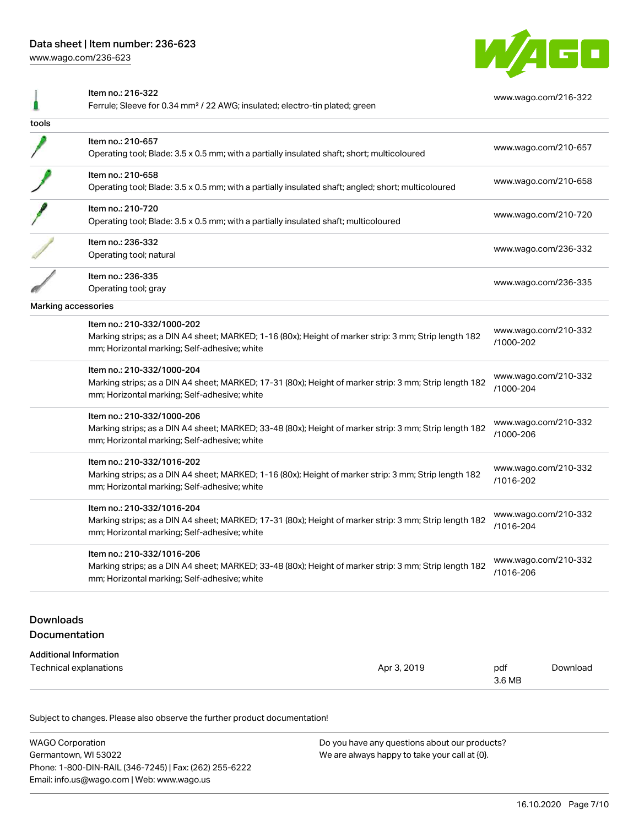[www.wago.com/236-623](http://www.wago.com/236-623)



|                                   | Item no.: 216-322<br>Ferrule; Sleeve for 0.34 mm <sup>2</sup> / 22 AWG; insulated; electro-tin plated; green                                           |             | www.wago.com/216-322              |                      |
|-----------------------------------|--------------------------------------------------------------------------------------------------------------------------------------------------------|-------------|-----------------------------------|----------------------|
| tools                             |                                                                                                                                                        |             |                                   |                      |
|                                   | Item no.: 210-657                                                                                                                                      |             |                                   |                      |
|                                   | Operating tool; Blade: 3.5 x 0.5 mm; with a partially insulated shaft; short; multicoloured                                                            |             |                                   | www.wago.com/210-657 |
|                                   | Item no.: 210-658                                                                                                                                      |             |                                   |                      |
|                                   | Operating tool; Blade: 3.5 x 0.5 mm; with a partially insulated shaft; angled; short; multicoloured                                                    |             |                                   | www.wago.com/210-658 |
|                                   | Item no.: 210-720                                                                                                                                      |             |                                   | www.wago.com/210-720 |
|                                   | Operating tool; Blade: 3.5 x 0.5 mm; with a partially insulated shaft; multicoloured                                                                   |             |                                   |                      |
|                                   | Item no.: 236-332                                                                                                                                      |             |                                   | www.wago.com/236-332 |
|                                   | Operating tool; natural                                                                                                                                |             |                                   |                      |
|                                   | Item no.: 236-335                                                                                                                                      |             |                                   | www.wago.com/236-335 |
|                                   | Operating tool; gray                                                                                                                                   |             |                                   |                      |
| Marking accessories               |                                                                                                                                                        |             |                                   |                      |
|                                   | Item no.: 210-332/1000-202                                                                                                                             |             |                                   | www.wago.com/210-332 |
|                                   | Marking strips; as a DIN A4 sheet; MARKED; 1-16 (80x); Height of marker strip: 3 mm; Strip length 182<br>mm; Horizontal marking; Self-adhesive; white  |             | /1000-202                         |                      |
|                                   | Item no.: 210-332/1000-204                                                                                                                             |             |                                   |                      |
|                                   | Marking strips; as a DIN A4 sheet; MARKED; 17-31 (80x); Height of marker strip: 3 mm; Strip length 182<br>mm; Horizontal marking; Self-adhesive; white |             | www.wago.com/210-332<br>/1000-204 |                      |
|                                   | Item no.: 210-332/1000-206                                                                                                                             |             |                                   |                      |
|                                   | Marking strips; as a DIN A4 sheet; MARKED; 33-48 (80x); Height of marker strip: 3 mm; Strip length 182<br>mm; Horizontal marking; Self-adhesive; white |             | www.wago.com/210-332<br>/1000-206 |                      |
|                                   | Item no.: 210-332/1016-202                                                                                                                             |             |                                   |                      |
|                                   | Marking strips; as a DIN A4 sheet; MARKED; 1-16 (80x); Height of marker strip: 3 mm; Strip length 182<br>mm; Horizontal marking; Self-adhesive; white  |             | www.wago.com/210-332<br>/1016-202 |                      |
|                                   | Item no.: 210-332/1016-204                                                                                                                             |             |                                   |                      |
|                                   | Marking strips; as a DIN A4 sheet; MARKED; 17-31 (80x); Height of marker strip: 3 mm; Strip length 182<br>mm; Horizontal marking; Self-adhesive; white |             | www.wago.com/210-332<br>/1016-204 |                      |
|                                   | Item no.: 210-332/1016-206                                                                                                                             |             |                                   | www.wago.com/210-332 |
|                                   | Marking strips; as a DIN A4 sheet; MARKED; 33-48 (80x); Height of marker strip: 3 mm; Strip length 182<br>mm; Horizontal marking; Self-adhesive; white |             | /1016-206                         |                      |
|                                   |                                                                                                                                                        |             |                                   |                      |
| <b>Downloads</b><br>Documentation |                                                                                                                                                        |             |                                   |                      |
|                                   |                                                                                                                                                        |             |                                   |                      |
|                                   | <b>Additional Information</b><br>Technical explanations                                                                                                | Apr 3, 2019 | pdf                               | Download             |
|                                   |                                                                                                                                                        |             | 3.6 MB                            |                      |

Subject to changes. Please also observe the further product documentation!

| <b>WAGO Corporation</b>                                | Do you have any questions about our products? |
|--------------------------------------------------------|-----------------------------------------------|
| Germantown, WI 53022                                   | We are always happy to take your call at {0}. |
| Phone: 1-800-DIN-RAIL (346-7245)   Fax: (262) 255-6222 |                                               |
| Email: info.us@wago.com   Web: www.wago.us             |                                               |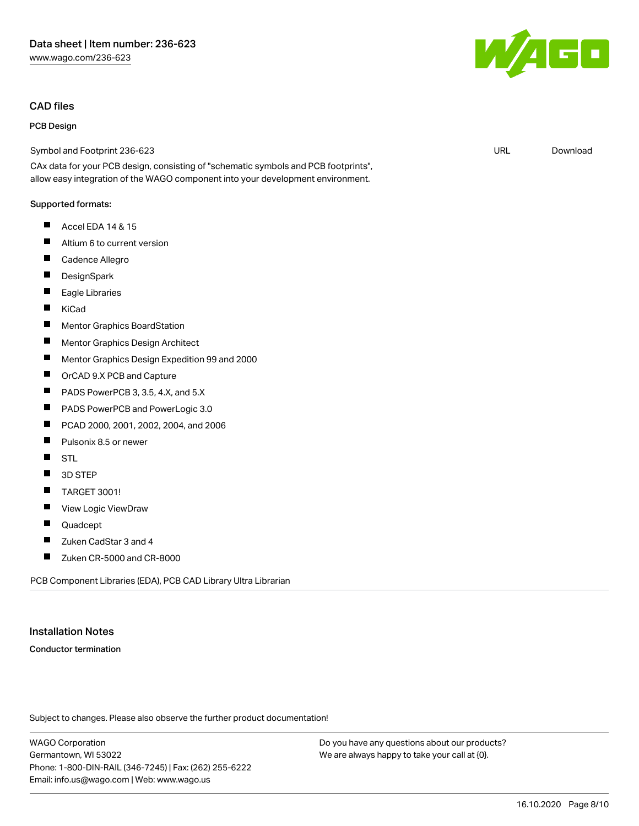# CAD files

# PCB Design

Symbol and Footprint 236-623

CAx data for your PCB design, consisting of "schematic symbols and PCB footprints", allow easy integration of the WAGO component into your development environment.

#### Supported formats:

- $\blacksquare$ Accel EDA 14 & 15
- $\blacksquare$ Altium 6 to current version
- $\blacksquare$ Cadence Allegro
- $\blacksquare$ **DesignSpark**
- П Eagle Libraries
- $\blacksquare$ KiCad
- $\blacksquare$ Mentor Graphics BoardStation
- $\blacksquare$ Mentor Graphics Design Architect
- $\blacksquare$ Mentor Graphics Design Expedition 99 and 2000
- $\blacksquare$ OrCAD 9.X PCB and Capture
- $\blacksquare$ PADS PowerPCB 3, 3.5, 4.X, and 5.X
- $\blacksquare$ PADS PowerPCB and PowerLogic 3.0
- $\blacksquare$ PCAD 2000, 2001, 2002, 2004, and 2006
- П Pulsonix 8.5 or newer
- $\blacksquare$ STL
- $\blacksquare$ 3D STEP
- $\blacksquare$ TARGET 3001!
- П View Logic ViewDraw
- $\blacksquare$ Quadcept
- $\blacksquare$ Zuken CadStar 3 and 4
- $\blacksquare$ Zuken CR-5000 and CR-8000

PCB Component Libraries (EDA), PCB CAD Library Ultra Librarian

#### Installation Notes

Conductor termination

Subject to changes. Please also observe the further product documentation!

WAGO Corporation Germantown, WI 53022 Phone: 1-800-DIN-RAIL (346-7245) | Fax: (262) 255-6222 Email: info.us@wago.com | Web: www.wago.us

Do you have any questions about our products? We are always happy to take your call at {0}.



URL [Download](https://www.wago.com/us/d/UltraLibrarian_URLS_236-623)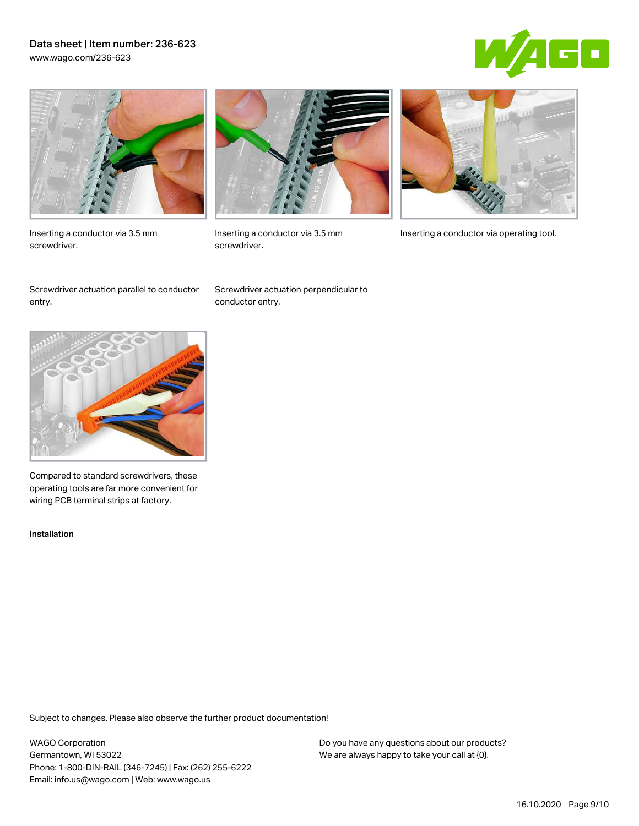## Data sheet | Item number: 236-623 [www.wago.com/236-623](http://www.wago.com/236-623)





Inserting a conductor via 3.5 mm screwdriver.



screwdriver.

Inserting a conductor via 3.5 mm Inserting a conductor via operating tool.

Screwdriver actuation parallel to conductor entry.

Screwdriver actuation perpendicular to conductor entry.



Compared to standard screwdrivers, these operating tools are far more convenient for wiring PCB terminal strips at factory.

Installation

Subject to changes. Please also observe the further product documentation!

WAGO Corporation Germantown, WI 53022 Phone: 1-800-DIN-RAIL (346-7245) | Fax: (262) 255-6222 Email: info.us@wago.com | Web: www.wago.us